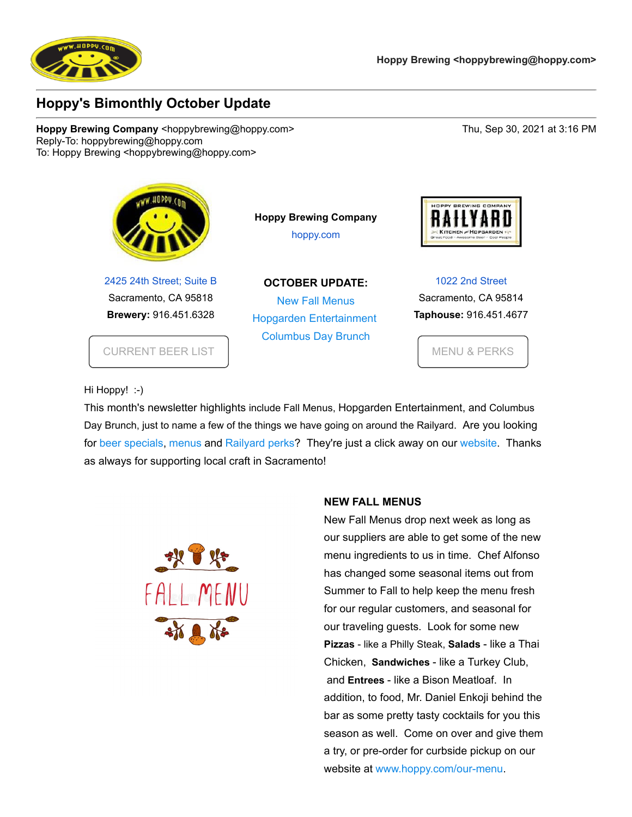

## **Hoppy's Bimonthly October Update**

**Hoppy Brewing Company <hoppybrewing@hoppy.com> Thu, Sep 30, 2021 at 3:16 PM** Reply-To: hoppybrewing@hoppy.com To: Hoppy Brewing <hoppybrewing@hoppy.com>



[2425 24th Street; Suite B](https://www.google.com/maps/search/2425+24th+Street;+Suite+B+%0D%0ASacramento,+CA+95818?entry=gmail&source=g) Sacramento, CA 95818 **Brewery:** 916.451.6328

[CURRENT BEER LIST](https://u5697356.ct.sendgrid.net/ls/click?upn=gsDAT7V2ooweGqWP-2FAs3fVFYsv1dZBAdL4-2BxyW6NsDLOe5JS1um9nh6cX5XlniqrwTw3_ToJYUsGg8UDlCXUk2v111gMEv4QoDNu7KdRUZTlimXsl-2BkVUj9FbdJwMh9UHLZIoRS-2FuMDTPwxUZWF0R5ptasd7Jc3mniSYo0u4s8gzd3iYnn6x6SMJh1CmPx0ZCPWUAaf-2Fhp59tZ6BtdMFKq7MjbUGzAnjG2i9kVxu-2FbPk8txV9gfc3Jrx-2ByBeGsZHVT0X3SseADpmJzrJ1RlZP6KKAlC9xuMtjsciBaM9jMM3mPM01-2Bo-2BnmcOCjKN4v4gm08E-2FLNEI1q-2B2Sd-2F2QgYV5uYiB6hWQvIV3PcQTuUrrlx2tyq1fPUvEM6nm9UccoV7CR32Dy7fYZE86jjXOz0xhO5-2FY0O-2BK6wsQcRhOUWcbLnW4lA3LIWzagNUU58xHYLGxkJkd5ZhxPZQs7hUL6oGs99wa0e6zfWVObjbTMaK92iV087bKaUC3DRFXgWxqaA2UEz-2B-2F7PIEe71sExHIduPsjj7gZS8Y5BLWpPBuNVLsQValdeL-2FwP1kFI1B4SvkV4-2Fezl4HtZRKSWllTSGBsCRS4dnjbr2fw-2FqkLEzcsLETUut60LzO-2FQn9u-2BV8Nf7OVAAGB3O3BCdGpVeMIVoilezk-2FL0alwapgtzEhhfLvoJ-2B2wPtCrcPYewLHBsrg-2BicCquA8qqQiqppeg61w0TwIYC0OwwXQ-2BUBzcRBAVjXwFyz2iJHjUkWIH-2BFiFrGAYfabsueAEnNjBh-2FeI26PH8TyZwqnJLoYwyhYbHT4duHw5bwS8yNLIAESvgEkYrwCp2xbxDSey1tuJZbQ4HGs3SsLc0X8mFTnbyLkMpE2Hs4tTXRppEBPck2Ou02yIIny-2FEimPMhIw0KBlHry4SrZ7BTi2izFv3uuGD5GfZl-2Fbtj72BL2ZtpjiWx6CuZJKBXllB3p6uXQ37GsmNyJ0BZK4jyqvsy9vG0c-2FDEw2b38QFjoNajmK-2BaIjx2XTSGnrDXGt3RHJ-2F3MN0DMH3oUOvSx57ecWHVRiUJDGZxvmiCRUwRvklJ4HULBw-3D)

**Hoppy Brewing Company** [hoppy.com](https://u5697356.ct.sendgrid.net/ls/click?upn=gsDAT7V2ooweGqWP-2FAs3fQQ-2B6-2BeS7nOgT3V-2Ft7EQwbc-3DVsVY_ToJYUsGg8UDlCXUk2v111gMEv4QoDNu7KdRUZTlimXsl-2BkVUj9FbdJwMh9UHLZIoRS-2FuMDTPwxUZWF0R5ptasd7Jc3mniSYo0u4s8gzd3iYnn6x6SMJh1CmPx0ZCPWUAaf-2Fhp59tZ6BtdMFKq7MjbUGzAnjG2i9kVxu-2FbPk8txV9gfc3Jrx-2ByBeGsZHVT0X3SseADpmJzrJ1RlZP6KKAlC9xuMtjsciBaM9jMM3mPM01-2Bo-2BnmcOCjKN4v4gm08E-2FLNEI1q-2B2Sd-2F2QgYV5uYiB6hWQvIV3PcQTuUrrlx2tyq1fPUvEM6nm9UccoV7CR32Dy7fYZE86jjXOz0xhO5-2FY0O-2BK6wsQcRhOUWcbLnW4lA3LIWzagNUU58xHYLGxkJkd5ZhxPZQs7hUL6oGs99wa0e6zfWVObjbTMaK92iV087bKaUC3DRFXgWxqaA2UEz-2B-2F7PIEe71sExHIduPsjj7gZS8Y5BLWpPBuNVLsQValdeL-2FwP1kFI1B4SvkV4-2Fezl4HtZRKSWllTSGBsCRS4dnjbr2fw-2FqkLEzcsLETUut60LzO-2FQn9u-2BV8Nf7OVAAGB3O3BCdGpVeMIVoilezk-2FL0alwapgtzEhhfLvoJ-2B2wPtCrcPYewLHBsrg-2BicCquA8qqQiqppeg61w0TwIYC0OwwXQ-2BUBzcRBAVjXwFyz2iJHjUkWIH-2BFiFrGAYfabsueAEnNjBh-2FeI26PH8TyZwqnJLoYwyhYbHT4duHw5bwS8yNLIAESvgEkYrwCp2xbxDSey1tuJZbQ4HGs3SsLc0X8mFTnbyLkMpE2Hs4tTXRppEBPck2Ou02yIIny-2FEimPMhIw0F9u9jAwnBCgydYEkRNam50yfwqufD-2B3Dmw7snrDmd9nZgCU3kTNe6KeBKYTjXyY3O4tJFzng5-2BD-2FAxj9-2FHpiqHiPEeAiE-2BSZmTtd0OTssQjH-2F6SNjsD-2BNKmb5ko-2FI7faXn5LWV9FRKaJ2siIE5usJtPTn8wyIZaEOSGJdiLuwZw-3D)

**OCTOBER UPDATE:** [N](https://u5697356.ct.sendgrid.net/ls/click?upn=ctqRi-2F08cFnjmbx1TqsbMDSQgfLQdMcTYJ9C6coIpis-3DQVaO_ToJYUsGg8UDlCXUk2v111gMEv4QoDNu7KdRUZTlimXsl-2BkVUj9FbdJwMh9UHLZIoRS-2FuMDTPwxUZWF0R5ptasd7Jc3mniSYo0u4s8gzd3iYnn6x6SMJh1CmPx0ZCPWUAaf-2Fhp59tZ6BtdMFKq7MjbUGzAnjG2i9kVxu-2FbPk8txV9gfc3Jrx-2ByBeGsZHVT0X3SseADpmJzrJ1RlZP6KKAlC9xuMtjsciBaM9jMM3mPM01-2Bo-2BnmcOCjKN4v4gm08E-2FLNEI1q-2B2Sd-2F2QgYV5uYiB6hWQvIV3PcQTuUrrlx2tyq1fPUvEM6nm9UccoV7CR32Dy7fYZE86jjXOz0xhO5-2FY0O-2BK6wsQcRhOUWcbLnW4lA3LIWzagNUU58xHYLGxkJkd5ZhxPZQs7hUL6oGs99wa0e6zfWVObjbTMaK92iV087bKaUC3DRFXgWxqaA2UEz-2B-2F7PIEe71sExHIduPsjj7gZS8Y5BLWpPBuNVLsQValdeL-2FwP1kFI1B4SvkV4-2Fezl4HtZRKSWllTSGBsCRS4dnjbr2fw-2FqkLEzcsLETUut60LzO-2FQn9u-2BV8Nf7OVAAGB3O3BCdGpVeMIVoilezk-2FL0alwapgtzEhhfLvoJ-2B2wPtCrcPYewLHBsrg-2BicCquA8qqQiqppeg61w0TwIYC0OwwXQ-2BUBzcRBAVjXwFyz2iJHjUkWIH-2BFiFrGAYfabsueAEnNjBh-2FeI26PH8TyZwqnJLoYwyhYbHT4duHw5bwS8yNLIAESvgEkYrwCp2xbxDSey1tuJZbQ4HGs3SsLc0X8mFTnbyLkMpE2Hs4tTXRppEBPck2Ou02yIIny-2FEimPMhIw00J8b9vkg-2Bt9wZgS3pZrv9tKnK37KFWaBKCyP5v1oA9qDrpwns7-2BRwVpllRvZ8fZ3KEstYGbCN-2BD-2FF4flSH7Pc-2BD3QBfYf5R96Qmhg3weD9cBd0wdietymTOduXTxJ0l-2FjQI0FMdHp1hTJ00-2FLHRuyUtzZsdwpoupvhY-2BLkOIHzc-3D)ew Fall Menus Hopgarden Entertainment [Co](https://u5697356.ct.sendgrid.net/ls/click?upn=ctqRi-2F08cFnjmbx1TqsbMMUTgpSg-2FWvpdCXoNXMftlU-3D4zya_ToJYUsGg8UDlCXUk2v111gMEv4QoDNu7KdRUZTlimXsl-2BkVUj9FbdJwMh9UHLZIoRS-2FuMDTPwxUZWF0R5ptasd7Jc3mniSYo0u4s8gzd3iYnn6x6SMJh1CmPx0ZCPWUAaf-2Fhp59tZ6BtdMFKq7MjbUGzAnjG2i9kVxu-2FbPk8txV9gfc3Jrx-2ByBeGsZHVT0X3SseADpmJzrJ1RlZP6KKAlC9xuMtjsciBaM9jMM3mPM01-2Bo-2BnmcOCjKN4v4gm08E-2FLNEI1q-2B2Sd-2F2QgYV5uYiB6hWQvIV3PcQTuUrrlx2tyq1fPUvEM6nm9UccoV7CR32Dy7fYZE86jjXOz0xhO5-2FY0O-2BK6wsQcRhOUWcbLnW4lA3LIWzagNUU58xHYLGxkJkd5ZhxPZQs7hUL6oGs99wa0e6zfWVObjbTMaK92iV087bKaUC3DRFXgWxqaA2UEz-2B-2F7PIEe71sExHIduPsjj7gZS8Y5BLWpPBuNVLsQValdeL-2FwP1kFI1B4SvkV4-2Fezl4HtZRKSWllTSGBsCRS4dnjbr2fw-2FqkLEzcsLETUut60LzO-2FQn9u-2BV8Nf7OVAAGB3O3BCdGpVeMIVoilezk-2FL0alwapgtzEhhfLvoJ-2B2wPtCrcPYewLHBsrg-2BicCquA8qqQiqppeg61w0TwIYC0OwwXQ-2BUBzcRBAVjXwFyz2iJHjUkWIH-2BFiFrGAYfabsueAEnNjBh-2FeI26PH8TyZwqnJLoYwyhYbHT4duHw5bwS8yNLIAESvgEkYrwCp2xbxDSey1tuJZbQ4HGs3SsLc0X8mFTnbyLkMpE2Hs4tTXRppEBPck2Ou02yIIny-2FEimPMhIw0JL8nE7bN1MSQgR9xm-2FOvLSekmfoPG-2FE2qXKvyIlrEzasO1Wn3sRMZD7XviAlpWR4eXylwE4WE9-2Bn7T1MuvUGpjXne5NljORjc7nToJWPL8WfskXYsBa-2BZ7XMAb8EznWqtC7aWWPASocqIVi3MSKmNJ5AwlxY65Fbj3RoNxvYEBw-3D)lumbus Day Brunch



[1022 2nd Street](https://www.google.com/maps/search/1022+2nd+Street+%0D%0ASacramento,+CA+95814?entry=gmail&source=g) Sacramento, CA 95814 **Taphouse:** 916.451.4677

[MENU & PERKS](https://u5697356.ct.sendgrid.net/ls/click?upn=gsDAT7V2ooweGqWP-2FAs3fd1ZCBwx9-2FiRXFsccdp8kiekfYiuXVRLBqFroB5Bi3nfDG7Y_ToJYUsGg8UDlCXUk2v111gMEv4QoDNu7KdRUZTlimXsl-2BkVUj9FbdJwMh9UHLZIoRS-2FuMDTPwxUZWF0R5ptasd7Jc3mniSYo0u4s8gzd3iYnn6x6SMJh1CmPx0ZCPWUAaf-2Fhp59tZ6BtdMFKq7MjbUGzAnjG2i9kVxu-2FbPk8txV9gfc3Jrx-2ByBeGsZHVT0X3SseADpmJzrJ1RlZP6KKAlC9xuMtjsciBaM9jMM3mPM01-2Bo-2BnmcOCjKN4v4gm08E-2FLNEI1q-2B2Sd-2F2QgYV5uYiB6hWQvIV3PcQTuUrrlx2tyq1fPUvEM6nm9UccoV7CR32Dy7fYZE86jjXOz0xhO5-2FY0O-2BK6wsQcRhOUWcbLnW4lA3LIWzagNUU58xHYLGxkJkd5ZhxPZQs7hUL6oGs99wa0e6zfWVObjbTMaK92iV087bKaUC3DRFXgWxqaA2UEz-2B-2F7PIEe71sExHIduPsjj7gZS8Y5BLWpPBuNVLsQValdeL-2FwP1kFI1B4SvkV4-2Fezl4HtZRKSWllTSGBsCRS4dnjbr2fw-2FqkLEzcsLETUut60LzO-2FQn9u-2BV8Nf7OVAAGB3O3BCdGpVeMIVoilezk-2FL0alwapgtzEhhfLvoJ-2B2wPtCrcPYewLHBsrg-2BicCquA8qqQiqppeg61w0TwIYC0OwwXQ-2BUBzcRBAVjXwFyz2iJHjUkWIH-2BFiFrGAYfabsueAEnNjBh-2FeI26PH8TyZwqnJLoYwyhYbHT4duHw5bwS8yNLIAESvgEkYrwCp2xbxDSey1tuJZbQ4HGs3SsLc0X8mFTnbyLkMpE2Hs4tTXRppEBPck2Ou02yIIny-2FEimPMhIw0iy3HTTqt-2FiOxXYfan3NNJ-2FWLuRfXhqUO6XVlZIV8iIjXCudYrxHNosZ3HgVAHLlCDLW0EIcu0DjWZUZmJnY7ex0sXMZPa6jJ6-2FMRG9kdsfu5INSbsenmJzmut8lFy1lpVz0oIPfJrm-2FOaGFO-2FoFCh-2B7a3CoxUrCkOUgd2Feb6fU-3D)

Hi Hoppy! :-)

This month's newsletter highlights include Fall Menus, Hopgarden Entertainment, and Columbus Day Brunch, just to name a few of the things we have going on around the Railyard. Are you looking for [beer specials](https://u5697356.ct.sendgrid.net/ls/click?upn=gsDAT7V2ooweGqWP-2FAs3fVFYsv1dZBAdL4-2BxyW6NsDLOe5JS1um9nh6cX5XlniqrKF4z_ToJYUsGg8UDlCXUk2v111gMEv4QoDNu7KdRUZTlimXsl-2BkVUj9FbdJwMh9UHLZIoRS-2FuMDTPwxUZWF0R5ptasd7Jc3mniSYo0u4s8gzd3iYnn6x6SMJh1CmPx0ZCPWUAaf-2Fhp59tZ6BtdMFKq7MjbUGzAnjG2i9kVxu-2FbPk8txV9gfc3Jrx-2ByBeGsZHVT0X3SseADpmJzrJ1RlZP6KKAlC9xuMtjsciBaM9jMM3mPM01-2Bo-2BnmcOCjKN4v4gm08E-2FLNEI1q-2B2Sd-2F2QgYV5uYiB6hWQvIV3PcQTuUrrlx2tyq1fPUvEM6nm9UccoV7CR32Dy7fYZE86jjXOz0xhO5-2FY0O-2BK6wsQcRhOUWcbLnW4lA3LIWzagNUU58xHYLGxkJkd5ZhxPZQs7hUL6oGs99wa0e6zfWVObjbTMaK92iV087bKaUC3DRFXgWxqaA2UEz-2B-2F7PIEe71sExHIduPsjj7gZS8Y5BLWpPBuNVLsQValdeL-2FwP1kFI1B4SvkV4-2Fezl4HtZRKSWllTSGBsCRS4dnjbr2fw-2FqkLEzcsLETUut60LzO-2FQn9u-2BV8Nf7OVAAGB3O3BCdGpVeMIVoilezk-2FL0alwapgtzEhhfLvoJ-2B2wPtCrcPYewLHBsrg-2BicCquA8qqQiqppeg61w0TwIYC0OwwXQ-2BUBzcRBAVjXwFyz2iJHjUkWIH-2BFiFrGAYfabsueAEnNjBh-2FeI26PH8TyZwqnJLoYwyhYbHT4duHw5bwS8yNLIAESvgEkYrwCp2xbxDSey1tuJZbQ4HGs3SsLc0X8mFTnbyLkMpE2Hs4tTXRppEBPck2Ou02yIIny-2FEimPMhIw0LFq7COTj3j8z7EfQScuT73OppOVYGcl3c3LbjbgGrvVhdCT1fjAHSr-2F1rSl8l0pt-2B0PpUyzQ-2Bn3t9CnfspAfeXho7395zinxnXEJVeV3PzZGDagwdz-2FkJtYApjapzmKXwPN4XiENVxpNiXteNdZt5DL-2FNdaybLE-2BP3FF8fqGqh0-3D), [menus](https://u5697356.ct.sendgrid.net/ls/click?upn=gsDAT7V2ooweGqWP-2FAs3fd1ZCBwx9-2FiRXFsccdp8kiekfYiuXVRLBqFroB5Bi3nfT3-R_ToJYUsGg8UDlCXUk2v111gMEv4QoDNu7KdRUZTlimXsl-2BkVUj9FbdJwMh9UHLZIoRS-2FuMDTPwxUZWF0R5ptasd7Jc3mniSYo0u4s8gzd3iYnn6x6SMJh1CmPx0ZCPWUAaf-2Fhp59tZ6BtdMFKq7MjbUGzAnjG2i9kVxu-2FbPk8txV9gfc3Jrx-2ByBeGsZHVT0X3SseADpmJzrJ1RlZP6KKAlC9xuMtjsciBaM9jMM3mPM01-2Bo-2BnmcOCjKN4v4gm08E-2FLNEI1q-2B2Sd-2F2QgYV5uYiB6hWQvIV3PcQTuUrrlx2tyq1fPUvEM6nm9UccoV7CR32Dy7fYZE86jjXOz0xhO5-2FY0O-2BK6wsQcRhOUWcbLnW4lA3LIWzagNUU58xHYLGxkJkd5ZhxPZQs7hUL6oGs99wa0e6zfWVObjbTMaK92iV087bKaUC3DRFXgWxqaA2UEz-2B-2F7PIEe71sExHIduPsjj7gZS8Y5BLWpPBuNVLsQValdeL-2FwP1kFI1B4SvkV4-2Fezl4HtZRKSWllTSGBsCRS4dnjbr2fw-2FqkLEzcsLETUut60LzO-2FQn9u-2BV8Nf7OVAAGB3O3BCdGpVeMIVoilezk-2FL0alwapgtzEhhfLvoJ-2B2wPtCrcPYewLHBsrg-2BicCquA8qqQiqppeg61w0TwIYC0OwwXQ-2BUBzcRBAVjXwFyz2iJHjUkWIH-2BFiFrGAYfabsueAEnNjBh-2FeI26PH8TyZwqnJLoYwyhYbHT4duHw5bwS8yNLIAESvgEkYrwCp2xbxDSey1tuJZbQ4HGs3SsLc0X8mFTnbyLkMpE2Hs4tTXRppEBPck2Ou02yIIny-2FEimPMhIw0ASV8HPk75fjrftH1c5BOPFfh9zWA0z1QWfOw05a4p7A6yNWrF0Y1-2FhEsMfb-2FTzZEI7gWzKM9xeoHsIl1rHw2RMp-2BxUYDJg-2FuTu-2F2vvWFDc5hA4p897FV47k-2B6C2Bv6mx-2Fk7jJcoTVgMAy8Qr6fQlgCjN42zwDN4KYCJzlUGgJK0-3D) and [Railyard perks?](https://u5697356.ct.sendgrid.net/ls/click?upn=gsDAT7V2ooweGqWP-2FAs3fd1ZCBwx9-2FiRXFsccdp8kiekfYiuXVRLBqFroB5Bi3nfFFSp_ToJYUsGg8UDlCXUk2v111gMEv4QoDNu7KdRUZTlimXsl-2BkVUj9FbdJwMh9UHLZIoRS-2FuMDTPwxUZWF0R5ptasd7Jc3mniSYo0u4s8gzd3iYnn6x6SMJh1CmPx0ZCPWUAaf-2Fhp59tZ6BtdMFKq7MjbUGzAnjG2i9kVxu-2FbPk8txV9gfc3Jrx-2ByBeGsZHVT0X3SseADpmJzrJ1RlZP6KKAlC9xuMtjsciBaM9jMM3mPM01-2Bo-2BnmcOCjKN4v4gm08E-2FLNEI1q-2B2Sd-2F2QgYV5uYiB6hWQvIV3PcQTuUrrlx2tyq1fPUvEM6nm9UccoV7CR32Dy7fYZE86jjXOz0xhO5-2FY0O-2BK6wsQcRhOUWcbLnW4lA3LIWzagNUU58xHYLGxkJkd5ZhxPZQs7hUL6oGs99wa0e6zfWVObjbTMaK92iV087bKaUC3DRFXgWxqaA2UEz-2B-2F7PIEe71sExHIduPsjj7gZS8Y5BLWpPBuNVLsQValdeL-2FwP1kFI1B4SvkV4-2Fezl4HtZRKSWllTSGBsCRS4dnjbr2fw-2FqkLEzcsLETUut60LzO-2FQn9u-2BV8Nf7OVAAGB3O3BCdGpVeMIVoilezk-2FL0alwapgtzEhhfLvoJ-2B2wPtCrcPYewLHBsrg-2BicCquA8qqQiqppeg61w0TwIYC0OwwXQ-2BUBzcRBAVjXwFyz2iJHjUkWIH-2BFiFrGAYfabsueAEnNjBh-2FeI26PH8TyZwqnJLoYwyhYbHT4duHw5bwS8yNLIAESvgEkYrwCp2xbxDSey1tuJZbQ4HGs3SsLc0X8mFTnbyLkMpE2Hs4tTXRppEBPck2Ou02yIIny-2FEimPMhIw0aY1wgZuMVV-2FlZHnO05XvqaAl485Op2y8KgHyW-2FplJfjJrAGu5ZxvVVTTn3NjJfJn8XEdgzEaGxlxA4oqzlhFXhFRpFnAJystwBJQ2wEeAYOB65tx58zhsVgHvkhZqr-2Fovdp-2F9IRw8XfTjIh6VlEFjUeFMQHDuYC16cZn6VYJQNU-3D) They're just a click away on our [website](https://u5697356.ct.sendgrid.net/ls/click?upn=gsDAT7V2ooweGqWP-2FAs3fQQ-2B6-2BeS7nOgT3V-2Ft7EQwbc-3DBbyW_ToJYUsGg8UDlCXUk2v111gMEv4QoDNu7KdRUZTlimXsl-2BkVUj9FbdJwMh9UHLZIoRS-2FuMDTPwxUZWF0R5ptasd7Jc3mniSYo0u4s8gzd3iYnn6x6SMJh1CmPx0ZCPWUAaf-2Fhp59tZ6BtdMFKq7MjbUGzAnjG2i9kVxu-2FbPk8txV9gfc3Jrx-2ByBeGsZHVT0X3SseADpmJzrJ1RlZP6KKAlC9xuMtjsciBaM9jMM3mPM01-2Bo-2BnmcOCjKN4v4gm08E-2FLNEI1q-2B2Sd-2F2QgYV5uYiB6hWQvIV3PcQTuUrrlx2tyq1fPUvEM6nm9UccoV7CR32Dy7fYZE86jjXOz0xhO5-2FY0O-2BK6wsQcRhOUWcbLnW4lA3LIWzagNUU58xHYLGxkJkd5ZhxPZQs7hUL6oGs99wa0e6zfWVObjbTMaK92iV087bKaUC3DRFXgWxqaA2UEz-2B-2F7PIEe71sExHIduPsjj7gZS8Y5BLWpPBuNVLsQValdeL-2FwP1kFI1B4SvkV4-2Fezl4HtZRKSWllTSGBsCRS4dnjbr2fw-2FqkLEzcsLETUut60LzO-2FQn9u-2BV8Nf7OVAAGB3O3BCdGpVeMIVoilezk-2FL0alwapgtzEhhfLvoJ-2B2wPtCrcPYewLHBsrg-2BicCquA8qqQiqppeg61w0TwIYC0OwwXQ-2BUBzcRBAVjXwFyz2iJHjUkWIH-2BFiFrGAYfabsueAEnNjBh-2FeI26PH8TyZwqnJLoYwyhYbHT4duHw5bwS8yNLIAESvgEkYrwCp2xbxDSey1tuJZbQ4HGs3SsLc0X8mFTnbyLkMpE2Hs4tTXRppEBPck2Ou02yIIny-2FEimPMhIw0RJSYVHSof87rYd9xCJbzbbwJlAgCoqTJuuGDTYPWhSVU1ASyXLW2hMNbUEbs4dV6FvkNEYZxAizCld4IAUPwnTW58d33b9TLxj0IXat65FKdBM6GcwE8gQ5eHBTg5Kc138Z2yF5H7zve81wHzq2BNFYpOpUPSEJcdGsIgP-2Fxy40-3D). Thanks as always for supporting local craft in Sacramento!



### **NEW FALL MENUS**

New Fall Menus drop next week as long as our suppliers are able to get some of the new menu ingredients to us in time. Chef Alfonso has changed some seasonal items out from Summer to Fall to help keep the menu fresh for our regular customers, and seasonal for our traveling guests. Look for some new **Pizzas** - like a Philly Steak, **Salads** - like a Thai Chicken, **Sandwiches** - like a Turkey Club, and **Entrees** - like a Bison Meatloaf. In addition, to food, Mr. Daniel Enkoji behind the bar as some pretty tasty cocktails for you this season as well. Come on over and give them a try, or pre-order for curbside pickup on our website at [www.hoppy.com/our-menu](https://u5697356.ct.sendgrid.net/ls/click?upn=3qfRyDFjj8zN2pIrk5PP0y8LmyqCjsq7u8sN9elmvpme8PIPOSezYlsTYIrtmvMchLq8_ToJYUsGg8UDlCXUk2v111gMEv4QoDNu7KdRUZTlimXsl-2BkVUj9FbdJwMh9UHLZIoRS-2FuMDTPwxUZWF0R5ptasd7Jc3mniSYo0u4s8gzd3iYnn6x6SMJh1CmPx0ZCPWUAaf-2Fhp59tZ6BtdMFKq7MjbUGzAnjG2i9kVxu-2FbPk8txV9gfc3Jrx-2ByBeGsZHVT0X3SseADpmJzrJ1RlZP6KKAlC9xuMtjsciBaM9jMM3mPM01-2Bo-2BnmcOCjKN4v4gm08E-2FLNEI1q-2B2Sd-2F2QgYV5uYiB6hWQvIV3PcQTuUrrlx2tyq1fPUvEM6nm9UccoV7CR32Dy7fYZE86jjXOz0xhO5-2FY0O-2BK6wsQcRhOUWcbLnW4lA3LIWzagNUU58xHYLGxkJkd5ZhxPZQs7hUL6oGs99wa0e6zfWVObjbTMaK92iV087bKaUC3DRFXgWxqaA2UEz-2B-2F7PIEe71sExHIduPsjj7gZS8Y5BLWpPBuNVLsQValdeL-2FwP1kFI1B4SvkV4-2Fezl4HtZRKSWllTSGBsCRS4dnjbr2fw-2FqkLEzcsLETUut60LzO-2FQn9u-2BV8Nf7OVAAGB3O3BCdGpVeMIVoilezk-2FL0alwapgtzEhhfLvoJ-2B2wPtCrcPYewLHBsrg-2BicCquA8qqQiqppeg61w0TwIYC0OwwXQ-2BUBzcRBAVjXwFyz2iJHjUkWIH-2BFiFrGAYfabsueAEnNjBh-2FeI26PH8TyZwqnJLoYwyhYbHT4duHw5bwS8yNLIAESvgEkYrwCp2xbxDSey1tuJZbQ4HGs3SsLc0X8mFTnbyLkMpE2Hs4tTXRppEBPck2Ou02yIIny-2FEimPMhIw0LvmWv31MnlEiJnRm-2B8KLtzKLvG1cxgIfnZvGK3cFTfPHZ-2Fd-2Fyk5vNir3TA23nbCDA-2FTEpKxOjk38PvwiLm8q8HNmRpw6Geu3JdpDvXCiBzdl2lbvRTZ7Nx00tbhKDTH2QimB-2F93Q6Xt5vwvGI0YE6egtXo3MxF2SB2TpH0bQ8Ag-3D).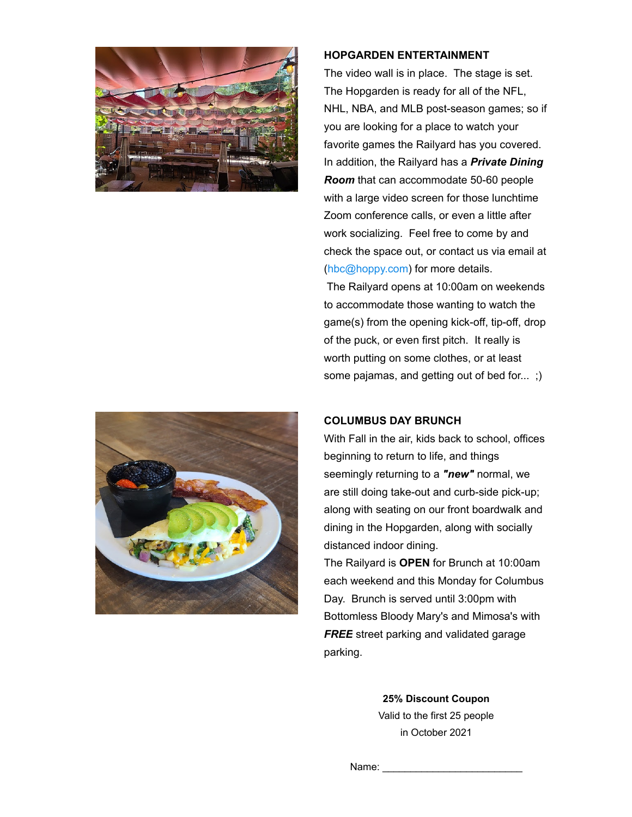



#### **HOPGARDEN ENTERTAINMENT**

The video wall is in place. The stage is set. The Hopgarden is ready for all of the NFL, NHL, NBA, and MLB post-season games; so if you are looking for a place to watch your favorite games the Railyard has you covered. In addition, the Railyard has a *Private Dining Room* that can accommodate 50-60 people with a large video screen for those lunchtime Zoom conference calls, or even a little after work socializing. Feel free to come by and check the space out, or contact us via email at ([hbc@hoppy.com\)](mailto:hbc@hoppy.com?subject=Private+Dining+Room+Interest&body=I%27d+like+more+information+regarding+the+Private+Dining+Room) for more details. The Railyard opens at 10:00am on weekends to accommodate those wanting to watch the

game(s) from the opening kick-off, tip-off, drop of the puck, or even first pitch. It really is worth putting on some clothes, or at least some pajamas, and getting out of bed for... ;)

#### **COLUMBUS DAY BRUNCH**

With Fall in the air, kids back to school, offices beginning to return to life, and things seemingly returning to a *"new"* normal, we are still doing take-out and curb-side pick-up; along with seating on our front boardwalk and dining in the Hopgarden, along with socially distanced indoor dining. The Railyard is **OPEN** for Brunch at 10:00am

each weekend and this Monday for Columbus Day. Brunch is served until 3:00pm with Bottomless Bloody Mary's and Mimosa's with *FREE* street parking and validated garage parking.

> **25% Discount Coupon** Valid to the first 25 people in October 2021

Name: